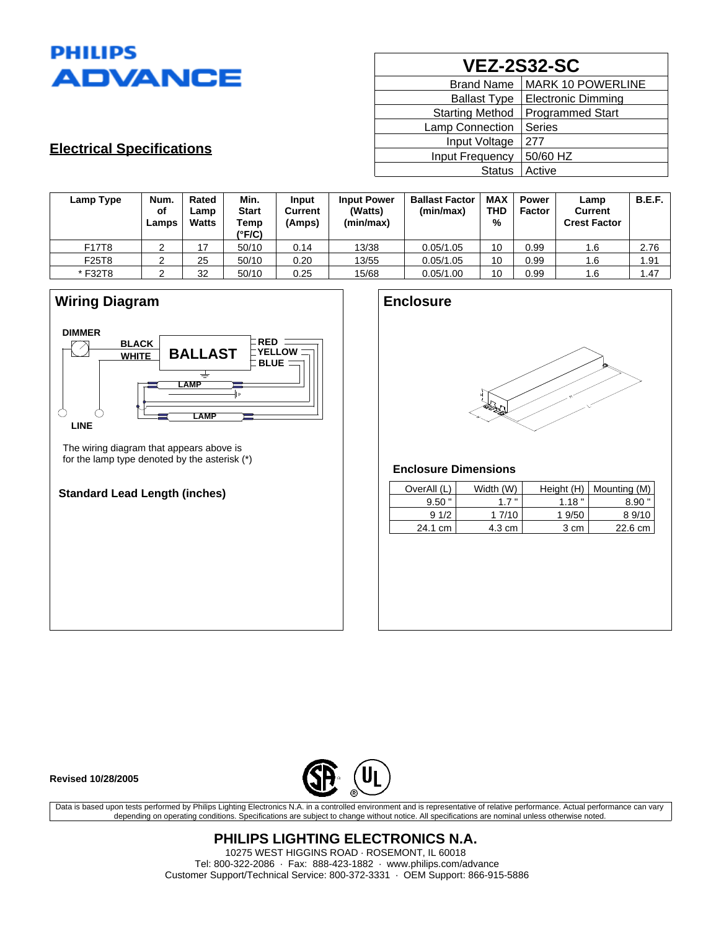

# **VEZ-2S32-SC**

| <b>Brand Name</b>      | <b>MARK 10 POWERLINE</b>  |
|------------------------|---------------------------|
| <b>Ballast Type</b>    | <b>Electronic Dimming</b> |
| <b>Starting Method</b> | <b>Programmed Start</b>   |
| <b>Lamp Connection</b> | Series                    |
| Input Voltage          | 277                       |
| Input Frequency        | 50/60 HZ                  |
| <b>Status</b>          | Active                    |

## **Electrical Specifications**

| Lamp Type | Num.<br>of<br>Lamps | Rated<br>Lamp<br><b>Watts</b> | Min.<br><b>Start</b><br>Temp<br>(°F/C) | Input<br>Current<br>(Amps) | <b>Input Power</b><br>(Watts)<br>(min/max) | <b>Ballast Factor</b><br>(min/max) | <b>MAX</b><br><b>THD</b><br>% | <b>Power</b><br><b>Factor</b> | Lamp<br><b>Current</b><br><b>Crest Factor</b> | <b>B.E.F.</b> |
|-----------|---------------------|-------------------------------|----------------------------------------|----------------------------|--------------------------------------------|------------------------------------|-------------------------------|-------------------------------|-----------------------------------------------|---------------|
| F17T8     | ৴                   | 17                            | 50/10                                  | 0.14                       | 13/38                                      | 0.05/1.05                          | 10                            | 0.99                          | 1.6                                           | 2.76          |
| F25T8     |                     | 25                            | 50/10                                  | 0.20                       | 13/55                                      | 0.05/1.05                          | 10                            | 0.99                          | 1.6                                           | 1.91          |
| * F32T8   |                     | 32                            | 50/10                                  | 0.25                       | 15/68                                      | 0.05/1.00                          | 10                            | 0.99                          | 1.6                                           | 1.47          |



### **Standard Lead Length (inches)**

| <b>Enclosure</b> |   |
|------------------|---|
|                  |   |
|                  |   |
|                  | H |
|                  | æ |
|                  |   |

### **Enclosure Dimensions**

| OverAll (L) | Width (W) | Height (H) | Mounting (M) |
|-------------|-----------|------------|--------------|
| 9.50        | 17"       | 1.18"      | 8.90         |
| 91/2        | 1 7/10    | 1 9/50     | 89/10        |
| 24.1 cm     | 4.3 cm    | 3 cm       | 22.6 cm      |

**Revised 10/28/2005**



Data is based upon tests performed by Philips Lighting Electronics N.A. in a controlled environment and is representative of relative performance. Actual performance can vary depending on operating conditions. Specifications are subject to change without notice. All specifications are nominal unless otherwise noted.

> **PHILIPS LIGHTING ELECTRONICS N.A.** 10275 WEST HIGGINS ROAD · ROSEMONT, IL 60018 Tel: 800-322-2086 · Fax: 888-423-1882 · www.philips.com/advance Customer Support/Technical Service: 800-372-3331 · OEM Support: 866-915-5886